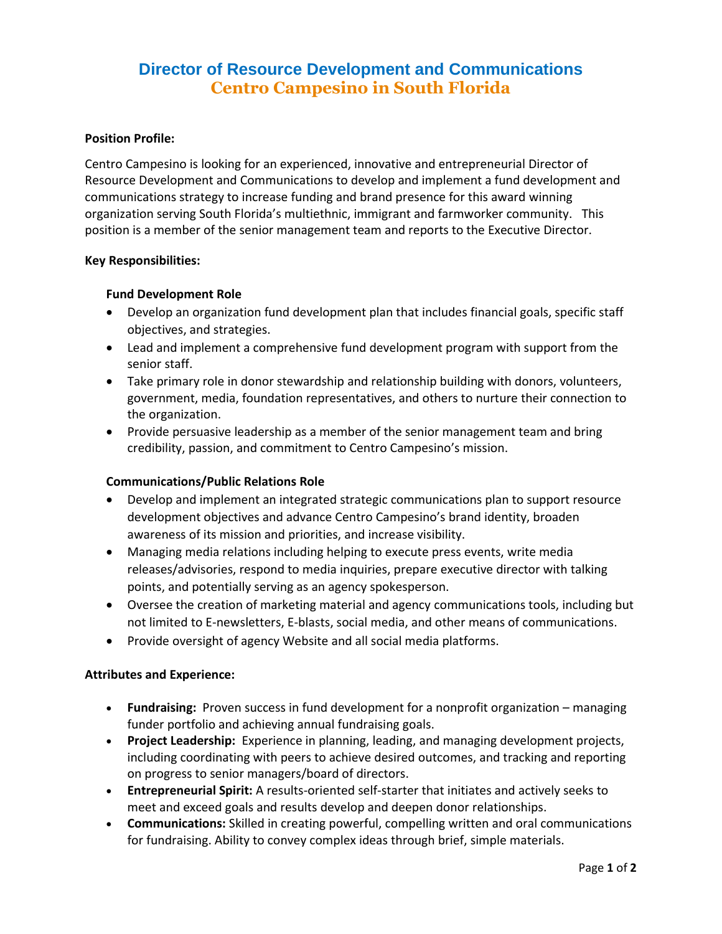# **Director of Resource Development and Communications Centro Campesino in South Florida**

## **Position Profile:**

Centro Campesino is looking for an experienced, innovative and entrepreneurial Director of Resource Development and Communications to develop and implement a fund development and communications strategy to increase funding and brand presence for this award winning organization serving South Florida's multiethnic, immigrant and farmworker community. This position is a member of the senior management team and reports to the Executive Director.

## **Key Responsibilities:**

#### **Fund Development Role**

- Develop an organization fund development plan that includes financial goals, specific staff objectives, and strategies.
- Lead and implement a comprehensive fund development program with support from the senior staff.
- Take primary role in donor stewardship and relationship building with donors, volunteers, government, media, foundation representatives, and others to nurture their connection to the organization.
- Provide persuasive leadership as a member of the senior management team and bring credibility, passion, and commitment to Centro Campesino's mission.

## **Communications/Public Relations Role**

- Develop and implement an integrated strategic communications plan to support resource development objectives and advance Centro Campesino's brand identity, broaden awareness of its mission and priorities, and increase visibility.
- Managing media relations including helping to execute press events, write media releases/advisories, respond to media inquiries, prepare executive director with talking points, and potentially serving as an agency spokesperson.
- Oversee the creation of marketing material and agency communications tools, including but not limited to E-newsletters, E-blasts, social media, and other means of communications.
- Provide oversight of agency Website and all social media platforms.

## **Attributes and Experience:**

- **Fundraising:** Proven success in fund development for a nonprofit organization managing funder portfolio and achieving annual fundraising goals.
- **Project Leadership:** Experience in planning, leading, and managing development projects, including coordinating with peers to achieve desired outcomes, and tracking and reporting on progress to senior managers/board of directors.
- **Entrepreneurial Spirit:** A results-oriented self-starter that initiates and actively seeks to meet and exceed goals and results develop and deepen donor relationships.
- **Communications:** Skilled in creating powerful, compelling written and oral communications for fundraising. Ability to convey complex ideas through brief, simple materials.